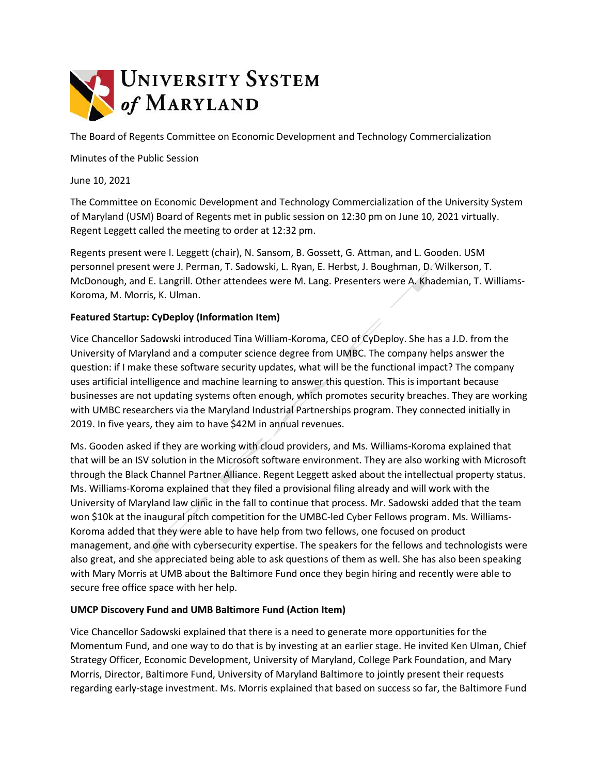

The Board of Regents Committee on Economic Development and Technology Commercialization

Minutes of the Public Session

June 10, 2021

The Committee on Economic Development and Technology Commercialization of the University System of Maryland (USM) Board of Regents met in public session on 12:30 pm on June 10, 2021 virtually. Regent Leggett called the meeting to order at 12:32 pm.

Regents present were I. Leggett (chair), N. Sansom, B. Gossett, G. Attman, and L. Gooden. USM personnel present were J. Perman, T. Sadowski, L. Ryan, E. Herbst, J. Boughman, D. Wilkerson, T. McDonough, and E. Langrill. Other attendees were M. Lang. Presenters were A. Khademian, T. Williams-Koroma, M. Morris, K. Ulman.

## **Featured Startup: CyDeploy (Information Item)**

Vice Chancellor Sadowski introduced Tina William-Koroma, CEO of CyDeploy. She has a J.D. from the University of Maryland and a computer science degree from UMBC. The company helps answer the question: if I make these software security updates, what will be the functional impact? The company uses artificial intelligence and machine learning to answer this question. This is important because businesses are not updating systems often enough, which promotes security breaches. They are working with UMBC researchers via the Maryland Industrial Partnerships program. They connected initially in 2019. In five years, they aim to have \$42M in annual revenues.

Ms. Gooden asked if they are working with cloud providers, and Ms. Williams-Koroma explained that that will be an ISV solution in the Microsoft software environment. They are also working with Microsoft through the Black Channel Partner Alliance. Regent Leggett asked about the intellectual property status. Ms. Williams-Koroma explained that they filed a provisional filing already and will work with the University of Maryland law clinic in the fall to continue that process. Mr. Sadowski added that the team won \$10k at the inaugural pitch competition for the UMBC-led Cyber Fellows program. Ms. Williams-Koroma added that they were able to have help from two fellows, one focused on product management, and one with cybersecurity expertise. The speakers for the fellows and technologists were also great, and she appreciated being able to ask questions of them as well. She has also been speaking with Mary Morris at UMB about the Baltimore Fund once they begin hiring and recently were able to secure free office space with her help.

## **UMCP Discovery Fund and UMB Baltimore Fund (Action Item)**

Vice Chancellor Sadowski explained that there is a need to generate more opportunities for the Momentum Fund, and one way to do that is by investing at an earlier stage. He invited Ken Ulman, Chief Strategy Officer, Economic Development, University of Maryland, College Park Foundation, and Mary Morris, Director, Baltimore Fund, University of Maryland Baltimore to jointly present their requests regarding early-stage investment. Ms. Morris explained that based on success so far, the Baltimore Fund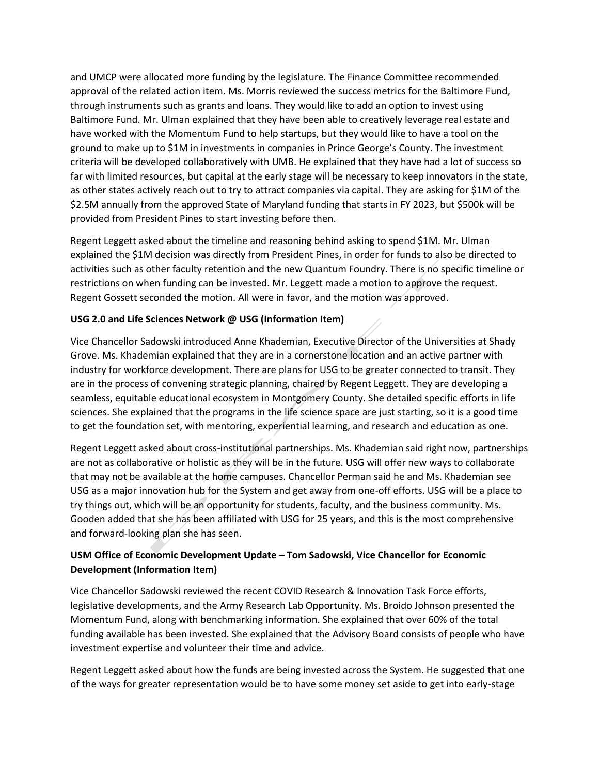and UMCP were allocated more funding by the legislature. The Finance Committee recommended approval of the related action item. Ms. Morris reviewed the success metrics for the Baltimore Fund, through instruments such as grants and loans. They would like to add an option to invest using Baltimore Fund. Mr. Ulman explained that they have been able to creatively leverage real estate and have worked with the Momentum Fund to help startups, but they would like to have a tool on the ground to make up to \$1M in investments in companies in Prince George's County. The investment criteria will be developed collaboratively with UMB. He explained that they have had a lot of success so far with limited resources, but capital at the early stage will be necessary to keep innovators in the state, as other states actively reach out to try to attract companies via capital. They are asking for \$1M of the \$2.5M annually from the approved State of Maryland funding that starts in FY 2023, but \$500k will be provided from President Pines to start investing before then.

Regent Leggett asked about the timeline and reasoning behind asking to spend \$1M. Mr. Ulman explained the \$1M decision was directly from President Pines, in order for funds to also be directed to activities such as other faculty retention and the new Quantum Foundry. There is no specific timeline or restrictions on when funding can be invested. Mr. Leggett made a motion to approve the request. Regent Gossett seconded the motion. All were in favor, and the motion was approved.

## **USG 2.0 and Life Sciences Network @ USG (Information Item)**

Vice Chancellor Sadowski introduced Anne Khademian, Executive Director of the Universities at Shady Grove. Ms. Khademian explained that they are in a cornerstone location and an active partner with industry for workforce development. There are plans for USG to be greater connected to transit. They are in the process of convening strategic planning, chaired by Regent Leggett. They are developing a seamless, equitable educational ecosystem in Montgomery County. She detailed specific efforts in life sciences. She explained that the programs in the life science space are just starting, so it is a good time to get the foundation set, with mentoring, experiential learning, and research and education as one.

Regent Leggett asked about cross-institutional partnerships. Ms. Khademian said right now, partnerships are not as collaborative or holistic as they will be in the future. USG will offer new ways to collaborate that may not be available at the home campuses. Chancellor Perman said he and Ms. Khademian see USG as a major innovation hub for the System and get away from one-off efforts. USG will be a place to try things out, which will be an opportunity for students, faculty, and the business community. Ms. Gooden added that she has been affiliated with USG for 25 years, and this is the most comprehensive and forward-looking plan she has seen.

## **USM Office of Economic Development Update – Tom Sadowski, Vice Chancellor for Economic Development (Information Item)**

Vice Chancellor Sadowski reviewed the recent COVID Research & Innovation Task Force efforts, legislative developments, and the Army Research Lab Opportunity. Ms. Broido Johnson presented the Momentum Fund, along with benchmarking information. She explained that over 60% of the total funding available has been invested. She explained that the Advisory Board consists of people who have investment expertise and volunteer their time and advice.

Regent Leggett asked about how the funds are being invested across the System. He suggested that one of the ways for greater representation would be to have some money set aside to get into early-stage